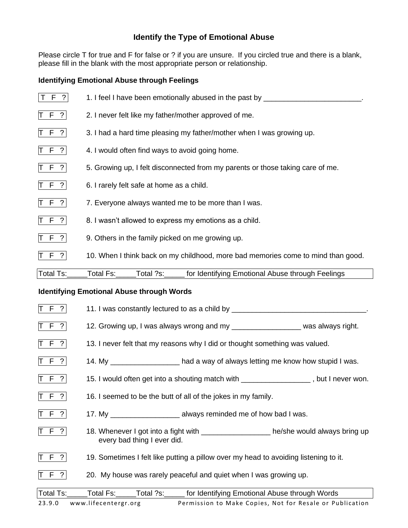# **Identify the Type of Emotional Abuse**

Please circle T for true and F for false or ? if you are unsure. If you circled true and there is a blank, please fill in the blank with the most appropriate person or relationship.

#### **Identifying Emotional Abuse through Feelings**

| F ?                       | 1. I feel I have been emotionally abused in the past by _____                    |
|---------------------------|----------------------------------------------------------------------------------|
| $\vert T \vert F \vert$ ? | 2. I never felt like my father/mother approved of me.                            |
| T F ?                     | 3. I had a hard time pleasing my father/mother when I was growing up.            |
| $T F$ ?                   | 4. I would often find ways to avoid going home.                                  |
| T F ?                     | 5. Growing up, I felt disconnected from my parents or those taking care of me.   |
| T F ?                     | 6. I rarely felt safe at home as a child.                                        |
| $T$ F ?                   | 7. Everyone always wanted me to be more than I was.                              |
| $T$ F ?                   | 8. I wasn't allowed to express my emotions as a child.                           |
| $T$ F ?                   | 9. Others in the family picked on me growing up.                                 |
| T F ?                     | 10. When I think back on my childhood, more bad memories come to mind than good. |
| <b>Total Ts:</b>          | Total ?s:<br>Total Fs:<br>for Identifying Emotional Abuse through Feelings       |

#### **Identifying Emotional Abuse through Words**

| T F ?     | 11. I was constantly lectured to as a child by _________________________________                                      |
|-----------|-----------------------------------------------------------------------------------------------------------------------|
| T F ?     | 12. Growing up, I was always wrong and my ______________________ was always right.                                    |
| T F ?     | 13. I never felt that my reasons why I did or thought something was valued.                                           |
| $T F$ ?   | 14. My _____________________had a way of always letting me know how stupid I was.                                     |
| T F ?     | 15. I would often get into a shouting match with __________________, but I never won.                                 |
| T F ?     | 16. I seemed to be the butt of all of the jokes in my family.                                                         |
| T F ?     |                                                                                                                       |
| T F ?     | 18. Whenever I got into a fight with ____________________ he/she would always bring up<br>every bad thing I ever did. |
| $T F$ ?   | 19. Sometimes I felt like putting a pillow over my head to avoiding listening to it.                                  |
| $T F$ ?   | 20. My house was rarely peaceful and quiet when I was growing up.                                                     |
| Total Ts: | Total Fs: _____Total ?s: ______ for Identifying Emotional Abuse through Words                                         |